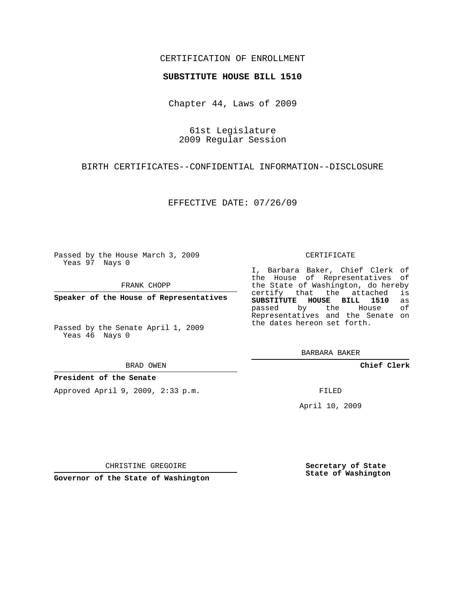## CERTIFICATION OF ENROLLMENT

### **SUBSTITUTE HOUSE BILL 1510**

Chapter 44, Laws of 2009

61st Legislature 2009 Regular Session

BIRTH CERTIFICATES--CONFIDENTIAL INFORMATION--DISCLOSURE

EFFECTIVE DATE: 07/26/09

Passed by the House March 3, 2009 Yeas 97 Nays 0

FRANK CHOPP

**Speaker of the House of Representatives**

Passed by the Senate April 1, 2009 Yeas 46 Nays 0

BRAD OWEN

### **President of the Senate**

Approved April 9, 2009, 2:33 p.m.

#### CERTIFICATE

I, Barbara Baker, Chief Clerk of the House of Representatives of the State of Washington, do hereby<br>certify that the attached is certify that the attached **SUBSTITUTE HOUSE BILL 1510** as passed by the Representatives and the Senate on the dates hereon set forth.

BARBARA BAKER

**Chief Clerk**

FILED

April 10, 2009

CHRISTINE GREGOIRE

**Governor of the State of Washington**

**Secretary of State State of Washington**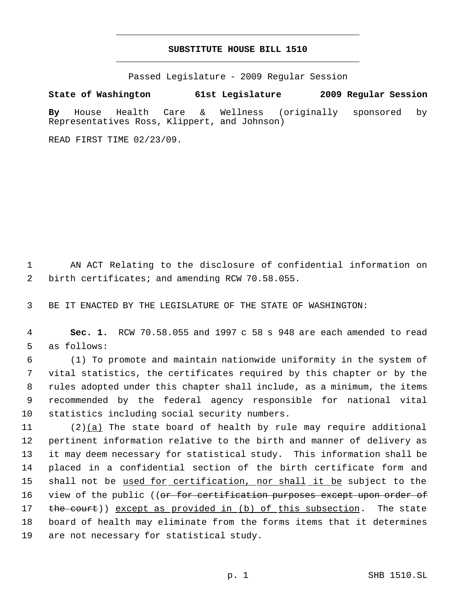# **SUBSTITUTE HOUSE BILL 1510** \_\_\_\_\_\_\_\_\_\_\_\_\_\_\_\_\_\_\_\_\_\_\_\_\_\_\_\_\_\_\_\_\_\_\_\_\_\_\_\_\_\_\_\_\_

\_\_\_\_\_\_\_\_\_\_\_\_\_\_\_\_\_\_\_\_\_\_\_\_\_\_\_\_\_\_\_\_\_\_\_\_\_\_\_\_\_\_\_\_\_

Passed Legislature - 2009 Regular Session

**State of Washington 61st Legislature 2009 Regular Session By** House Health Care & Wellness (originally sponsored by Representatives Ross, Klippert, and Johnson)

READ FIRST TIME 02/23/09.

 1 AN ACT Relating to the disclosure of confidential information on 2 birth certificates; and amending RCW 70.58.055.

3 BE IT ENACTED BY THE LEGISLATURE OF THE STATE OF WASHINGTON:

 4 **Sec. 1.** RCW 70.58.055 and 1997 c 58 s 948 are each amended to read 5 as follows:

 (1) To promote and maintain nationwide uniformity in the system of vital statistics, the certificates required by this chapter or by the rules adopted under this chapter shall include, as a minimum, the items recommended by the federal agency responsible for national vital statistics including social security numbers.

 $(2)(a)$  The state board of health by rule may require additional pertinent information relative to the birth and manner of delivery as it may deem necessary for statistical study. This information shall be placed in a confidential section of the birth certificate form and 15 shall not be used for certification, nor shall it be subject to the 16 view of the public ((<del>or for certification purposes except upon order of</del> 17 the court)) except as provided in (b) of this subsection. The state board of health may eliminate from the forms items that it determines are not necessary for statistical study.